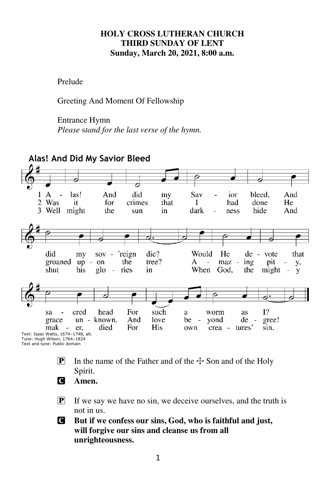### **HOLY CROSS LUTHERAN CHURCH THIRD SUNDAY OF LENT Sunday, March 20, 2021, 8:00 a.m.**

Prelude

Greeting And Moment Of Fellowship

### Entrance Hymn

*Please* s*tand for the last verse of the hymn.* 



- **P** In the name of the Father and of the  $\pm$  Son and of the Holy Spirit.
- C **Amen.**
- P If we say we have no sin, we deceive ourselves, and the truth is not in us.
- C **But if we confess our sins, God, who is faithful and just, will forgive our sins and cleanse us from all unrighteousness.**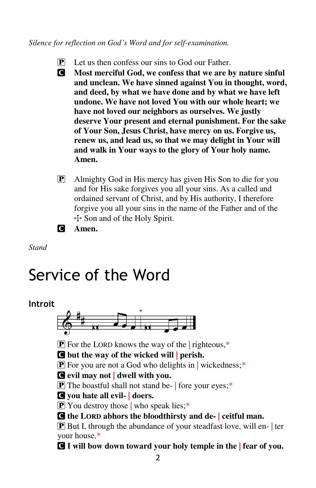*Silence for reflection on God's Word and for self-examination.* 

- $\mathbf{P}$  Let us then confess our sins to God our Father.
- C **Most merciful God, we confess that we are by nature sinful and unclean. We have sinned against You in thought, word, and deed, by what we have done and by what we have left undone. We have not loved You with our whole heart; we have not loved our neighbors as ourselves. We justly deserve Your present and eternal punishment. For the sake of Your Son, Jesus Christ, have mercy on us. Forgive us, renew us, and lead us, so that we may delight in Your will and walk in Your ways to the glory of Your holy name. Amen.**
- P Almighty God in His mercy has given His Son to die for you and for His sake forgives you all your sins. As a called and ordained servant of Christ, and by His authority, I therefore forgive you all your sins in the name of the Father and of the  $\div$  Son and of the Holy Spirit.

C **Amen.** 

*Stand* 

# Service of the Word

### **Introit**



**P** For the LORD knows the way of the righteous, $*$ 

C **but the way of the wicked will | perish.** 

 $\mathbf{P}$  For you are not a God who delights in wickedness;\*

C **evil may not | dwell with you.** 

 $\boxed{\mathbf{P}}$  The boastful shall not stand be- | fore your eyes;\*

C **you hate all evil- | doers.** 

**P** You destroy those who speak lies;\*

C **the LORD abhors the bloodthirsty and de- | ceitful man.** 

P But I, through the abundance of your steadfast love, will en- | ter your house.\*

C **I will bow down toward your holy temple in the | fear of you.**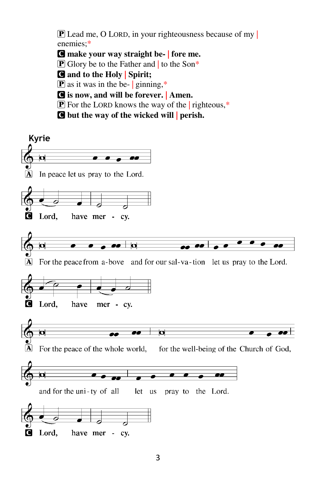**P** Lead me, O LORD, in your righteousness because of my | enemies;\*

- C **make your way straight be- | fore me.**
- $\boxed{\mathbf{P}}$  Glory be to the Father and to the Son\*
- C **and to the Holy | Spirit;**
- $\boxed{\mathbf{P}}$  as it was in the be- | ginning,\*
- C **is now, and will be forever. | Amen.**
- $\boxed{\mathbf{P}}$  For the LORD knows the way of the righteous,\*
- C **but the way of the wicked will | perish.**

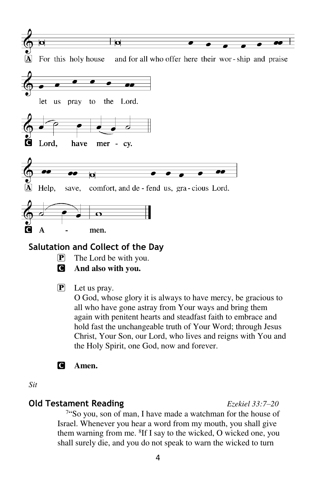

### **Salutation and Collect of the Day**

- $\mathbf{P}$  The Lord be with you.
- C **And also with you.**

### P Let us pray.

O God, whose glory it is always to have mercy, be gracious to all who have gone astray from Your ways and bring them again with penitent hearts and steadfast faith to embrace and hold fast the unchangeable truth of Your Word; through Jesus Christ, Your Son, our Lord, who lives and reigns with You and the Holy Spirit, one God, now and forever.

### C **Amen.**

*Sit* 

### **Old Testament Reading** *Ezekiel 33:7–20*

<sup>7</sup>"So you, son of man, I have made a watchman for the house of Israel. Whenever you hear a word from my mouth, you shall give them warning from me. <sup>8</sup>If I say to the wicked, O wicked one, you shall surely die, and you do not speak to warn the wicked to turn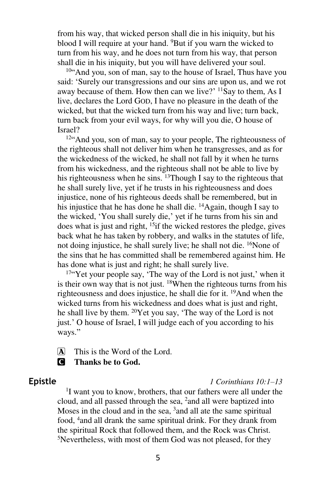from his way, that wicked person shall die in his iniquity, but his blood I will require at your hand. <sup>9</sup>But if you warn the wicked to turn from his way, and he does not turn from his way, that person shall die in his iniquity, but you will have delivered your soul.

<sup>10"</sup>And you, son of man, say to the house of Israel, Thus have you said: 'Surely our transgressions and our sins are upon us, and we rot away because of them. How then can we live?'  $^{11}$ Say to them, As I live, declares the Lord GOD, I have no pleasure in the death of the wicked, but that the wicked turn from his way and live; turn back, turn back from your evil ways, for why will you die, O house of Israel?

<sup>12"</sup>And you, son of man, say to your people, The righteousness of the righteous shall not deliver him when he transgresses, and as for the wickedness of the wicked, he shall not fall by it when he turns from his wickedness, and the righteous shall not be able to live by his righteousness when he sins.  $^{13}$ Though I say to the righteous that he shall surely live, yet if he trusts in his righteousness and does injustice, none of his righteous deeds shall be remembered, but in his injustice that he has done he shall die. <sup>14</sup>Again, though I say to the wicked, 'You shall surely die,' yet if he turns from his sin and does what is just and right, <sup>15</sup>if the wicked restores the pledge, gives back what he has taken by robbery, and walks in the statutes of life, not doing injustice, he shall surely live; he shall not die. <sup>16</sup>None of the sins that he has committed shall be remembered against him. He has done what is just and right; he shall surely live.

 $17\degree$ Yet your people say, 'The way of the Lord is not just,' when it is their own way that is not just.  $18$ When the righteous turns from his righteousness and does injustice, he shall die for it. <sup>19</sup>And when the wicked turns from his wickedness and does what is just and right, he shall live by them. <sup>20</sup>Yet you say, 'The way of the Lord is not just.' O house of Israel, I will judge each of you according to his ways."

 $\overline{A}$  This is the Word of the Lord.

### C **Thanks be to God.**

### **Epistle** *1 Corinthians 10:1–13*

<sup>1</sup>I want you to know, brothers, that our fathers were all under the cloud, and all passed through the sea,  $^2$  and all were baptized into Moses in the cloud and in the sea, <sup>3</sup> and all ate the same spiritual food, <sup>4</sup>and all drank the same spiritual drink. For they drank from the spiritual Rock that followed them, and the Rock was Christ. 5Nevertheless, with most of them God was not pleased, for they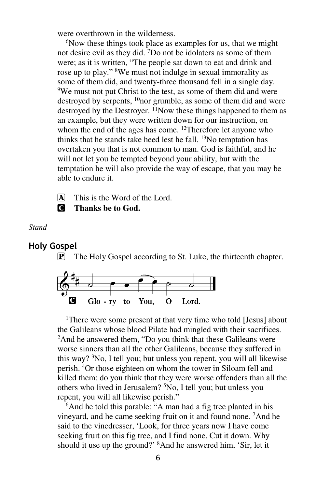were overthrown in the wilderness.

<sup>6</sup>Now these things took place as examples for us, that we might not desire evil as they did. <sup>7</sup>Do not be idolaters as some of them were; as it is written, "The people sat down to eat and drink and rose up to play." <sup>8</sup>We must not indulge in sexual immorality as some of them did, and twenty-three thousand fell in a single day. <sup>9</sup>We must not put Christ to the test, as some of them did and were destroyed by serpents, <sup>10</sup>nor grumble, as some of them did and were destroyed by the Destroyer. <sup>11</sup>Now these things happened to them as an example, but they were written down for our instruction, on whom the end of the ages has come. <sup>12</sup>Therefore let anyone who thinks that he stands take heed lest he fall.  $^{13}$ No temptation has overtaken you that is not common to man. God is faithful, and he will not let you be tempted beyond your ability, but with the temptation he will also provide the way of escape, that you may be able to endure it.

 $\overline{A}$  This is the Word of the Lord.

C **Thanks be to God.** 

*Stand* 

### **Holy Gospel**

 $\boxed{\mathbf{P}}$  The Holy Gospel according to St. Luke, the thirteenth chapter.



<sup>1</sup>There were some present at that very time who told [Jesus] about the Galileans whose blood Pilate had mingled with their sacrifices. <sup>2</sup>And he answered them, "Do you think that these Galileans were worse sinners than all the other Galileans, because they suffered in this way? <sup>3</sup>No, I tell you; but unless you repent, you will all likewise perish. <sup>4</sup>Or those eighteen on whom the tower in Siloam fell and killed them: do you think that they were worse offenders than all the others who lived in Jerusalem? <sup>5</sup>No, I tell you; but unless you repent, you will all likewise perish."

<sup>6</sup>And he told this parable: "A man had a fig tree planted in his vineyard, and he came seeking fruit on it and found none. <sup>7</sup>And he said to the vinedresser, 'Look, for three years now I have come seeking fruit on this fig tree, and I find none. Cut it down. Why should it use up the ground?' <sup>8</sup>And he answered him, 'Sir, let it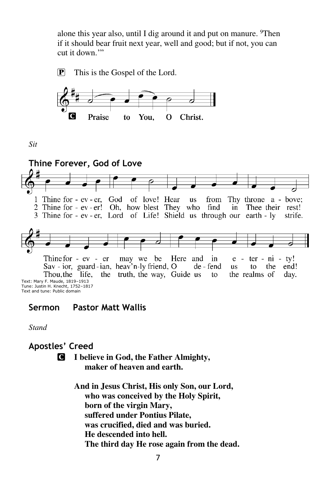alone this year also, until I dig around it and put on manure. <sup>9</sup>Then if it should bear fruit next year, well and good; but if not, you can cut it down."





*Sit* 



Text and tune: Public domain

### **Sermon Pastor Matt Wallis**

*Stand* 

### **Apostles' Creed**

- C **I believe in God, the Father Almighty, maker of heaven and earth.** 
	- **And in Jesus Christ, His only Son, our Lord, who was conceived by the Holy Spirit, born of the virgin Mary, suffered under Pontius Pilate, was crucified, died and was buried. He descended into hell. The third day He rose again from the dead.**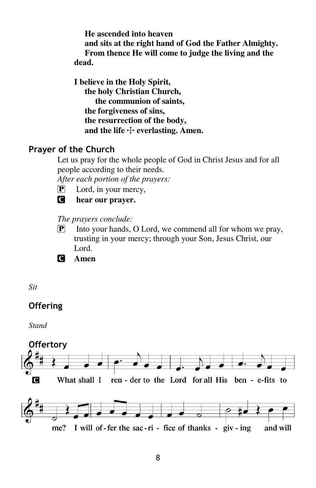**He ascended into heaven and sits at the right hand of God the Father Almighty. From thence He will come to judge the living and the dead.** 

**I believe in the Holy Spirit, the holy Christian Church, the communion of saints, the forgiveness of sins, the resurrection of the body,**  and the life  $+$  everlasting. Amen.

### **Prayer of the Church**

Let us pray for the whole people of God in Christ Jesus and for all people according to their needs.

*After each portion of the prayers:* 

- $\boxed{\mathbf{P}}$  Lord, in your mercy,
- C **hear our prayer.**

### *The prayers conclude:*

- $\boxed{\mathbf{P}}$  Into your hands, O Lord, we commend all for whom we pray, trusting in your mercy; through your Son, Jesus Christ, our Lord.
- C **Amen**

*Sit* 

### **Offering**

*Stand* 

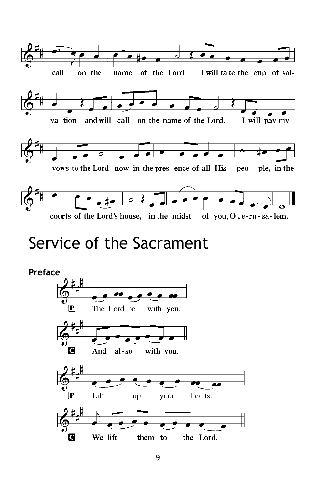

# Service of the Sacrament

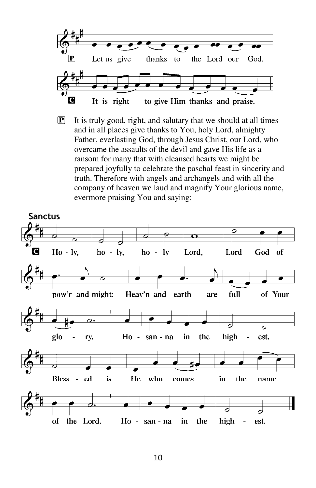

P It is truly good, right, and salutary that we should at all times and in all places give thanks to You, holy Lord, almighty Father, everlasting God, through Jesus Christ, our Lord, who overcame the assaults of the devil and gave His life as a ransom for many that with cleansed hearts we might be prepared joyfully to celebrate the paschal feast in sincerity and truth. Therefore with angels and archangels and with all the company of heaven we laud and magnify Your glorious name, evermore praising You and saying:

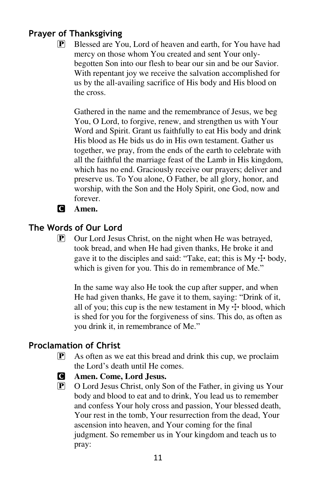### **Prayer of Thanksgiving**

P Blessed are You, Lord of heaven and earth, for You have had mercy on those whom You created and sent Your onlybegotten Son into our flesh to bear our sin and be our Savior. With repentant joy we receive the salvation accomplished for us by the all-availing sacrifice of His body and His blood on the cross.

Gathered in the name and the remembrance of Jesus, we beg You, O Lord, to forgive, renew, and strengthen us with Your Word and Spirit. Grant us faithfully to eat His body and drink His blood as He bids us do in His own testament. Gather us together, we pray, from the ends of the earth to celebrate with all the faithful the marriage feast of the Lamb in His kingdom, which has no end. Graciously receive our prayers; deliver and preserve us. To You alone, O Father, be all glory, honor, and worship, with the Son and the Holy Spirit, one God, now and forever.

C **Amen.** 

### **The Words of Our Lord**

 $\boxed{\mathbf{P}}$  Our Lord Jesus Christ, on the night when He was betrayed, took bread, and when He had given thanks, He broke it and gave it to the disciples and said: "Take, eat; this is  $My + body$ , which is given for you. This do in remembrance of Me."

In the same way also He took the cup after supper, and when He had given thanks, He gave it to them, saying: "Drink of it, all of you; this cup is the new testament in  $Mv + b$  blood, which is shed for you for the forgiveness of sins. This do, as often as you drink it, in remembrance of Me."

### **Proclamation of Christ**

- $\boxed{\mathbf{P}}$  As often as we eat this bread and drink this cup, we proclaim the Lord's death until He comes.
- C **Amen. Come, Lord Jesus.**
- P O Lord Jesus Christ, only Son of the Father, in giving us Your body and blood to eat and to drink, You lead us to remember and confess Your holy cross and passion, Your blessed death, Your rest in the tomb, Your resurrection from the dead, Your ascension into heaven, and Your coming for the final judgment. So remember us in Your kingdom and teach us to pray: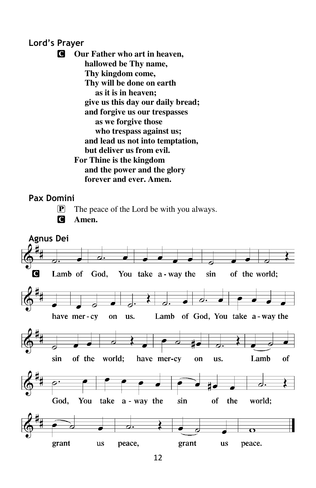### **Lord's Prayer**

C **Our Father who art in heaven, hallowed be Thy name, Thy kingdom come, Thy will be done on earth as it is in heaven; give us this day our daily bread; and forgive us our trespasses as we forgive those who trespass against us; and lead us not into temptation, but deliver us from evil. For Thine is the kingdom and the power and the glory forever and ever. Amen.** 

### **Pax Domini**

P The peace of the Lord be with you always.



### C **Amen.**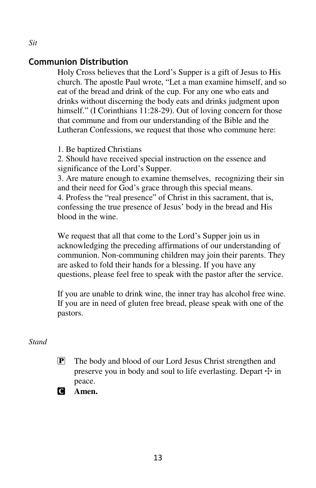### **Communion Distribution**

Holy Cross believes that the Lord's Supper is a gift of Jesus to His church. The apostle Paul wrote, "Let a man examine himself, and so eat of the bread and drink of the cup. For any one who eats and drinks without discerning the body eats and drinks judgment upon himself." (I Corinthians 11:28-29). Out of loving concern for those that commune and from our understanding of the Bible and the Lutheran Confessions, we request that those who commune here:

1. Be baptized Christians

2. Should have received special instruction on the essence and significance of the Lord's Supper.

3. Are mature enough to examine themselves, recognizing their sin and their need for God's grace through this special means. 4. Profess the "real presence" of Christ in this sacrament, that is, confessing the true presence of Jesus' body in the bread and His blood in the wine.

We request that all that come to the Lord's Supper join us in acknowledging the preceding affirmations of our understanding of communion. Non-communing children may join their parents. They are asked to fold their hands for a blessing. If you have any questions, please feel free to speak with the pastor after the service.

If you are unable to drink wine, the inner tray has alcohol free wine. If you are in need of gluten free bread, please speak with one of the pastors.

### *Stand*

- P The body and blood of our Lord Jesus Christ strengthen and preserve you in body and soul to life everlasting. Depart  $\pm$  in peace.
- C **Amen.**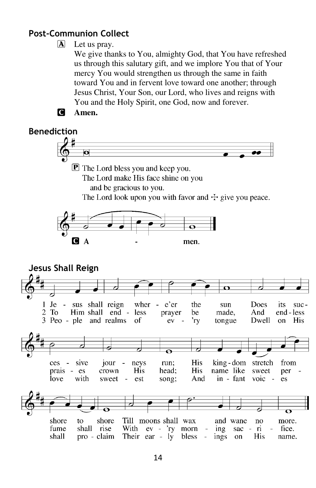### **Post-Communion Collect**

### $\Delta$  Let us pray.

We give thanks to You, almighty God, that You have refreshed us through this salutary gift, and we implore You that of Your mercy You would strengthen us through the same in faith toward You and in fervent love toward one another; through Jesus Christ, Your Son, our Lord, who lives and reigns with You and the Holy Spirit, one God, now and forever.



### **Benediction**  $\bullet$ **P** The Lord bless you and keep you. The Lord make His face shine on you and be gracious to you. The Lord look upon you with favor and  $\pm$  give you peace.  $\mathbf{A}$ C. men. **Jesus Shall Reign** *–* $1$  Je  $\sim$ sus shall reign wher e'er the Does its sun  $SUC 2 \text{ To}$ Him shall end less prayer be made, And end - less 3 Peo - ple and realms оf  $ev$ 'rv tongue Dwell  $\alpha$ **His** sive **His** king-dom stretch ces.  $\overline{a}$ jour neys run: from prais -His head: **His** name like es crown sweet per with love sweet  $\sim$ est song; And in - fant  $\overline{v}$  es shore shore Till moons shall wax and wane to no more. fume shall rise With ev - 'ry morn  $ri$ fice.  $ing$ sac  $$ shall pro - claim Their ear  $-1y$ bless ings His name.  $\sim$ on